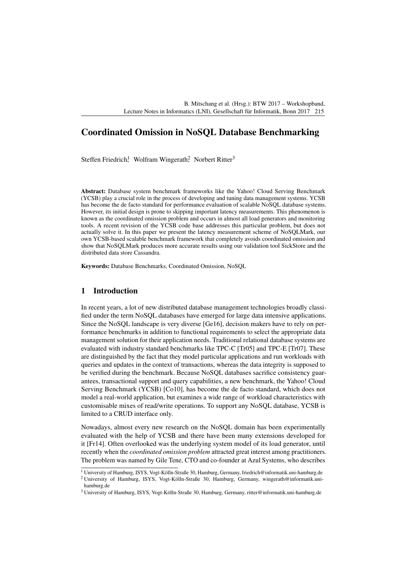# Coordinated Omission in NoSQL Database Benchmarking

Steffen Friedrich,<sup>1</sup> Wolfram Wingerath,<sup>2</sup> Norbert Ritter<sup>3</sup>

Abstract: Database system benchmark frameworks like the Yahoo! Cloud Serving Benchmark (YCSB) play a crucial role in the process of developing and tuning data management systems. YCSB has become the de facto standard for performance evaluation of scalable NoSQL database systems. However, its initial design is prone to skipping important latency measurements. This phenomenon is known as the coordinated omission problem and occurs in almost all load generators and monitoring tools. A recent revision of the YCSB code base addresses this particular problem, but does not actually solve it. In this paper we present the latency measurement scheme of NoSQLMark, our own YCSB-based scalable benchmark framework that completely avoids coordinated omission and show that NoSQLMark produces more accurate results using our validation tool SickStore and the distributed data store Cassandra.

Keywords: Database Benchmarks, Coordinated Omission, NoSQL

## 1 Introduction

In recent years, a lot of new distributed database management technologies broadly classified under the term NoSQL databases have emerged for large data intensive applications. Since the NoSQL landscape is very diverse [\[Ge16\]](#page-10-0), decision makers have to rely on performance benchmarks in addition to functional requirements to select the appropriate data management solution for their application needs. Traditional relational database systems are evaluated with industry standard benchmarks like TPC-C [\[Tr05\]](#page-10-1) and TPC-E [\[Tr07\]](#page-10-2). These are distinguished by the fact that they model particular applications and run workloads with queries and updates in the context of transactions, whereas the data integrity is supposed to be verified during the benchmark. Because NoSQL databases sacrifice consistency guarantees, transactional support and query capabilities, a new benchmark, the Yahoo! Cloud Serving Benchmark (YCSB) [\[Co10\]](#page-9-0), has become the de facto standard, which does not model a real-world application, but examines a wide range of workload characteristics with customisable mixes of read/write operations. To support any NoSQL database, YCSB is limited to a CRUD interface only.

Nowadays, almost every new research on the NoSQL domain has been experimentally evaluated with the help of YCSB and there have been many extensions developed for it [\[Fr14\]](#page-9-1). Often overlooked was the underlying system model of its load generator, until recently when the *coordinated omission problem* attracted great interest among practitioners. The problem was named by Gile Tene, CTO and co-founder at Azul Systems, who describes

<sup>1</sup> University of Hamburg, ISYS, Vogt-Kölln-Straße 30, Hamburg, Germany, [friedrich@informatik.uni-hamburg.de](mailto:friedrich@informatik.uni-hamburg.de)

<sup>2</sup> University of Hamburg, ISYS, Vogt-Kölln-Straße 30, Hamburg, Germany, [wingerath@informatik.uni](mailto:wingerath@informatik.uni-hamburg.de)[hamburg.de](mailto:wingerath@informatik.uni-hamburg.de)

<sup>3</sup> University of Hamburg, ISYS, Vogt-Kölln-Straße 30, Hamburg, Germany, [ritter@informatik.uni-hamburg.de](mailto:ritter@informatik.uni-hamburg.de)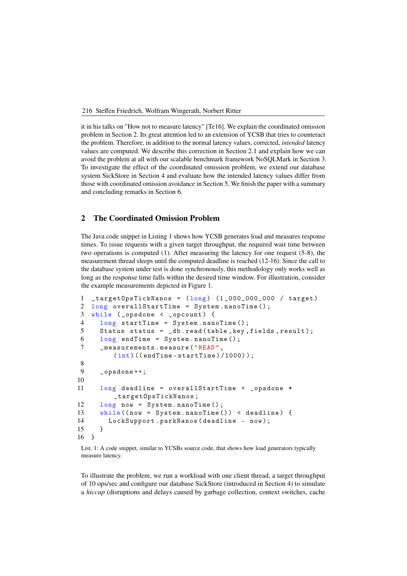it in his talks on "How not to measure latency" [\[Te16\]](#page-10-3). We explain the coordinated omission problem in Section 2. Its great attention led to an extension of YCSB that tries to counteract the proble[m. Therefor](#page-1-0)e, in addition to the normal latency values, corrected, *intended* latency values are computed. We describe this correction in Section 2.1 and explain how we can avoid the problem at all with our scalable benchmark [framework N](#page-3-0)oSQLMark in Section 3. To investigate the effect of the coordinated omission problem, we extend ou[r database](#page-3-1) system SickStore in Section 4 and evaluate how the intended latency values differ from those with coordinat[ed omission](#page-5-0) avoidance i[n Section 5.](#page-6-0) We finish the paper with a summary and concluding remarks in [Section 6.](#page-8-0)

### <span id="page-1-0"></span>2 The Coordinated Omission Problem

The Java code snippet in [Listing 1](#page-1-1) shows how YCSB generates load and measures response times. To issue requests with a given target throughput, the required wait time between two operations is computed (1). After measuring the latency for one request (5-8), the measurement thread sleeps until the computed deadline is reached (12-16). Since the call to the database system under test is done synchronously, this methodology only works well as long as the response time falls within the desired time window. For illustration, consider the example measurements depicted in [Figure 1.](#page-2-0)

```
1 _targetOpsTickNanos = (\text{long}) (1 \_000 \_000 \_000 / target)
2 long overallStartTime = System.nanoTime();
3 while (_opsdone < _opcount) {
4 long startTime = System . nanoTime () ;
5 Status status = _db . read ( table , key , fields , result );
6 long endTime = System.nanoTime();
7 _ _ measurements . measure ("READ",
         (int) ((endTime - startTime) / 1000));8
9 _opsdone ++;
10
11 long deadline = overallStartTime + _opsdone *
         _targetOpsTickNanos ;
12 long now = System . nanoTime () ;
13 while ((now = System.nanoTime ()) < deadline) {
14 LockSupport . parkNanos ( deadline - now );
15 }
16 }
```
List. 1: A code snippet, similar to YCSBs source code, that shows how load generators typically measure latency.

To illustrate the problem, we run a workload with one client thread, a target throughput of 10 ops/sec and configure our database SickStore (introduced in [Section 4\)](#page-5-0) to simulate a *hiccup* (disruptions and delays caused by garbage collection, context switches, cache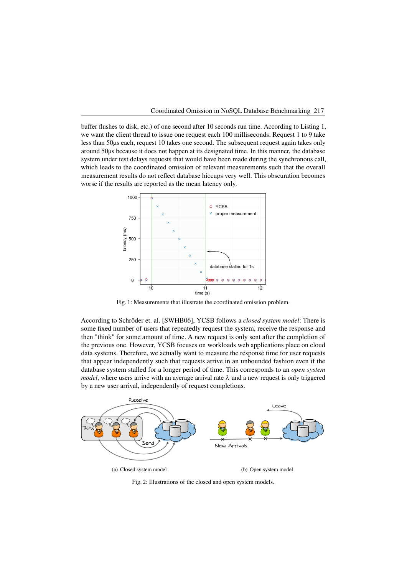buffer flushes to disk, etc.) of one second after 10 seconds run time. According to Listing 1, we want the client thread to issue one request each 100 milliseconds. Request [1 to 9 take](#page-1-1) less than 50µs each, request 10 takes one second. The subsequent request again takes only around 50µs because it does not happen at its designated time. In this manner, the database system under test delays requests that would have been made during the synchronous call, which leads to the coordinated omission of relevant measurements such that the overall measurement results do not reflect database hiccups very well. This obscuration becomes worse if the results are reported as the mean latency only.

<span id="page-2-0"></span>

Fig. 1: Measurements that illustrate the coordinated omission problem.

According to Schröder et. al. [\[SWHB06\]](#page-10-4), YCSB follows a *closed system model*: There is some fixed number of users that repeatedly request the system, receive the response and then "think" for some amount of time. A new request is only sent after the completion of the previous one. However, YCSB focuses on workloads web applications place on cloud data systems. Therefore, we actually want to measure the response time for user requests that appear independently such that requests arrive in an unbounded fashion even if the database system stalled for a longer period of time. This corresponds to an *open system model*, where users arrive with an average arrival rate  $\lambda$  and a new request is only triggered by a new user arrival, independently of request completions.



Fig. 2: Illustrations of the closed and open system models.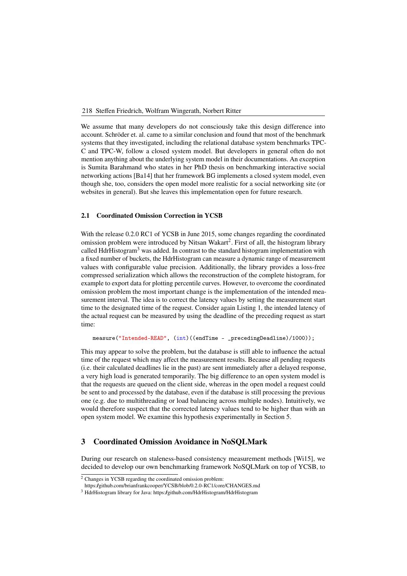We assume that many developers do not consciously take this design difference into account. Schröder et. al. came to a similar conclusion and found that most of the benchmark systems that they investigated, including the relational database system benchmarks TPC-C and TPC-W, follow a closed system model. But developers in general often do not mention anything about the underlying system model in their documentations. An exception is Sumita Barahmand who states in her PhD thesis on benchmarking interactive social networking actions [\[Ba14\]](#page-9-2) that her framework BG implements a closed system model, even though she, too, considers the open model more realistic for a social networking site (or websites in general). But she leaves this implementation open for future research.

### <span id="page-3-0"></span>2.1 Coordinated Omission Correction in YCSB

With the release 0.2.0 RC1 of YCSB in June 2015, some changes regarding the coordinated omission problem were introduced by Nitsan Wakart<sup>2</sup>. First of all, the histogram library called HdrHistogram<sup>3</sup> was added. In contrast to the sta[nda](#page-3-2)rd histogram implementation with a fixed number of b[uck](#page-3-3)ets, the HdrHistogram can measure a dynamic range of measurement values with configurable value precision. Additionally, the library provides a loss-free compressed serialization which allows the reconstruction of the complete histogram, for example to export data for plotting percentile curves. However, to overcome the coordinated omission problem the most important change is the implementation of the intended measurement interval. The idea is to correct the latency values by setting the measurement start time to the designated time of the request. Consider again [Listing 1,](#page-1-1) the intended latency of the actual request can be measured by using the deadline of the preceding request as start time:

```
measure("Intended-READ", (int)((endTime - _precedingDeadline)/1000));
```
This may appear to solve the problem, but the database is still able to influence the actual time of the request which may affect the measurement results. Because all pending requests (i.e. their calculated deadlines lie in the past) are sent immediately after a delayed response, a very high load is generated temporarily. The big difference to an open system model is that the requests are queued on the client side, whereas in the open model a request could be sent to and processed by the database, even if the database is still processing the previous one (e.g. due to multithreading or load balancing across multiple nodes). Intuitively, we would therefore suspect that the corrected latency values tend to be higher than with an open system model. We examine this hypothesis experimentally in [Section 5.](#page-6-0)

## <span id="page-3-1"></span>3 Coordinated Omission Avoidance in NoSQLMark

During our research on staleness-based consistency measurement methods [\[Wi15\]](#page-10-5), we decided to develop our own benchmarking framework NoSQLMark on top of YCSB, to

<https://github.com/brianfrankcooper/YCSB/blob/0.2.0-RC1/core/CHANGES.md>

<span id="page-3-2"></span><sup>2</sup> Changes in YCSB regarding the coordinated omission problem:

<span id="page-3-3"></span><sup>&</sup>lt;sup>3</sup> HdrHistogram library for Java: https:/github.com/HdrHistogram/HdrHistogram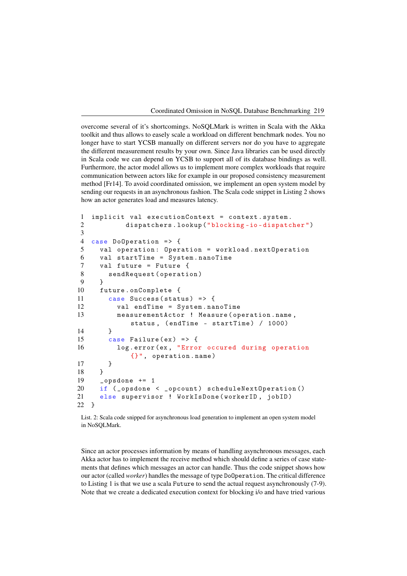overcome several of it's shortcomings. NoSQLMark is written in Scala with the Akka toolkit and thus allows to easely scale a workload on different benchmark nodes. You no longer have to start YCSB manually on different servers nor do you have to aggregate the different measurement results by your own. Since Java libraries can be used directly in Scala code we can depend on YCSB to support all of its database bindings as well. Furthermore, the actor model allows us to implement more complex workloads that require communication between actors like for example in our proposed consistency measurement method [\[Fr14\]](#page-9-1). To avoid coordinated omission, we implement an open system model by sending our requests in an asynchronous fashion. The Scala code snippet in [Listing 2](#page-4-0) shows how an actor generates load and measures latency.

```
1 implicit val executionContext = context . system .
2 dispatchers . lookup (" blocking -io - dispatcher ")
3
4 case DoOperation => {
5 val operation : Operation = workload . nextOperation
6 val startTime = System . nanoTime
7 val future = Future {
8 sendRequest ( operation )
9 }
10 future . onComplete {
11 case Success (status) => {
12 val endTime = System . nanoTime
13 measurementActor ! Measure ( operation . name ,
            status , ( endTime - startTime ) / 1000)
14 }
15 case Failure (ex) => {
16 log . error (ex , " Error occured during operation
            {} ", operation . name )
17 }
18 }
19 _opsdone += 120 if (_opsdone < _opcount) scheduleNextOperation ()
21 else supervisor ! WorkIsDone ( workerID , jobID )
22 }
```
List. 2: Scala code snipped for asynchronous load generation to implement an open system model in NoSQLMark.

Since an actor processes information by means of handling asynchronous messages, each Akka actor has to implement the receive method which should define a series of case statements that defines which messages an actor can handle. Thus the code snippet shows how our actor (called *worker*) handles the message of type DoOperation. The critical difference to [Listing 1](#page-1-1) is that we use a scala Future to send the actual request asynchronously (7-9). Note that we create a dedicated execution context for blocking i/o and have tried various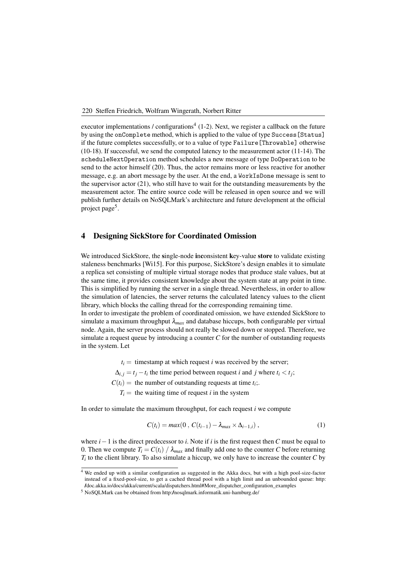executor implementations / configurations<sup>4</sup> (1-2). Next, we register a callback on the future by using the onComplete method, which [is](#page-5-1) applied to the value of type Success[Status] if the future completes successfully, or to a value of type Failure[Throwable] otherwise (10-18). If successful, we send the computed latency to the measurement actor (11-14). The scheduleNextOperation method schedules a new message of type DoOperation to be send to the actor himself (20). Thus, the actor remains more or less reactive for another message, e.g. an abort message by the user. At the end, a WorkIsDone message is sent to the supervisor actor (21), who still have to wait for the outstanding measurements by the measurement actor. The entire source code will be released in open source and we will publish further details on NoSQLMark's architecture and future development at the official project page<sup>5</sup>[.](#page-5-2)

#### <span id="page-5-0"></span>4 Designing SickStore for Coordinated Omission

We introduced SickStore, the single-node inconsistent key-value store to validate existing staleness benchmarks [\[Wi15\]](#page-10-5). For this purpose, SickStore's design enables it to simulate a replica set consisting of multiple virtual storage nodes that produce stale values, but at the same time, it provides consistent knowledge about the system state at any point in time. This is simplified by running the server in a single thread. Nevertheless, in order to allow the simulation of latencies, the server returns the calculated latency values to the client library, which blocks the calling thread for the corresponding remaining time.

In order to investigate the problem of coordinated omission, we have extended SickStore to simulate a maximum throughput  $\lambda_{max}$  and database hiccups, both configurable per virtual node. Again, the server process should not really be slowed down or stopped. Therefore, we simulate a request queue by introducing a counter *C* for the number of outstanding requests in the system. Let

 $t_i$  = timestamp at which request *i* was received by the server;

 $\Delta_{i,j} = t_j - t_i$  the time period between request *i* and *j* where  $t_i < t_j$ ;

 $C(t_i)$  = the number of outstanding requests at time  $t_i$ ;.

 $T_i$  = the waiting time of request *i* in the system

In order to simulate the maximum throughput, for each request *i* we compute

<span id="page-5-3"></span>
$$
C(t_i) = max(0, C(t_{i-1}) - \lambda_{max} \times \Delta_{i-1,i}),
$$
\n(1)

where  $i-1$  is the direct predecessor to *i*. Note if *i* is the first request then *C* must be equal to 0. Then we compute  $T_i = C(t_i) / \lambda_{max}$  and finally add one to the counter C before returning *Ti* to the client library. To also simulate a hiccup, we only have to increase the counter *C* by

<span id="page-5-1"></span><sup>4</sup> We ended up with a similar configuration as suggested in the Akka docs, but with a high pool-size-factor instead of a fixed-pool-size, to get a cached thread pool with a high limit and an unbounded queue: [http:](http://doc.akka.io/docs/akka/current/scala/dispatchers.html#More_dispatcher_configuration_examples) [//doc.akka.io/docs/akka/current/scala/dispatchers.html#More\\_dispatcher\\_configuration\\_examples](http://doc.akka.io/docs/akka/current/scala/dispatchers.html#More_dispatcher_configuration_examples)

<span id="page-5-2"></span><sup>5</sup> NoSQLMark can be obtained from<http://nosqlmark.informatik.uni-hamburg.de/>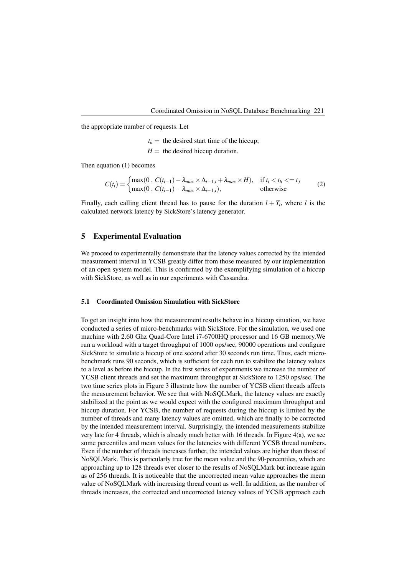the appropriate number of requests. Let

 $t<sub>h</sub>$  = the desired start time of the hiccup;  $H =$  the desired hiccup duration.

Then equation [\(1\)](#page-5-3) becomes

$$
C(t_i) = \begin{cases} \max(0, C(t_{i-1}) - \lambda_{max} \times \Delta_{i-1,i} + \lambda_{max} \times H), & \text{if } t_i < t_h <= t_j \\ \max(0, C(t_{i-1}) - \lambda_{max} \times \Delta_{i-1,i}), & \text{otherwise} \end{cases}
$$
 (2)

Finally, each calling client thread has to pause for the duration  $l + T_i$ , where l is the calculated network latency by SickStore's latency generator.

#### <span id="page-6-0"></span>5 Experimental Evaluation

We proceed to experimentally demonstrate that the latency values corrected by the intended measurement interval in YCSB greatly differ from those measured by our implementation of an open system model. This is confirmed by the exemplifying simulation of a hiccup with SickStore, as well as in our experiments with Cassandra.

#### 5.1 Coordinated Omission Simulation with SickStore

To get an insight into how the measurement results behave in a hiccup situation, we have conducted a series of micro-benchmarks with SickStore. For the simulation, we used one machine with 2.60 Ghz Quad-Core Intel i7-6700HQ processor and 16 GB memory.We run a workload with a target throughput of 1000 ops/sec, 90000 operations and configure SickStore to simulate a hiccup of one second after 30 seconds run time. Thus, each microbenchmark runs 90 seconds, which is sufficient for each run to stabilize the latency values to a level as before the hiccup. In the first series of experiments we increase the number of YCSB client threads and set the maximum throughput at SickStore to 1250 ops/sec. The two time series plots in [Figure 3](#page-7-0) illustrate how the number of YCSB client threads affects the measurement behavior. We see that with NoSQLMark, the latency values are exactly stabilized at the point as we would expect with the configured maximum throughput and hiccup duration. For YCSB, the number of requests during the hiccup is limited by the number of threads and many latency values are omitted, which are finally to be corrected by the intended measurement interval. Surprisingly, the intended measurements stabilize very late for 4 threads, which is already much better with 16 threads. In [Figure 4\(a\),](#page-7-1) we see some percentiles and mean values for the latencies with different YCSB thread numbers. Even if the number of threads increases further, the intended values are higher than those of NoSQLMark. This is particularly true for the mean value and the 90-percentiles, which are approaching up to 128 threads ever closer to the results of NoSQLMark but increase again as of 256 threads. It is noticeable that the uncorrected mean value approaches the mean value of NoSQLMark with increasing thread count as well. In addition, as the number of threads increases, the corrected and uncorrected latency values of YCSB approach each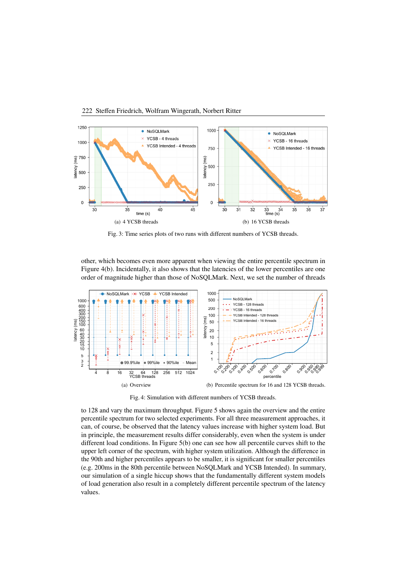<span id="page-7-0"></span>

Fig. 3: Time series plots of two runs with different numbers of YCSB threads.

other, which becomes even more apparent when viewing the entire percentile spectrum in [Figure 4\(b\).](#page-7-2) Incidentally, it also shows that the latencies of the lower percentiles are one order of magnitude higher than those of NoSQLMark. Next, we set the number of threads



<span id="page-7-2"></span>Fig. 4: Simulation with different numbers of YCSB threads.

<span id="page-7-1"></span>to 128 and vary the maximum throughput. [Figure 5](#page-8-1) shows again the overview and the entire percentile spectrum for two selected experiments. For all three measurement approaches, it can, of course, be observed that the latency values increase with higher system load. But in principle, the measurement results differ considerably, even when the system is under different load conditions. In [Figure 5\(b\)](#page-8-2) one can see how all percentile curves shift to the upper left corner of the spectrum, with higher system utilization. Although the difference in the 90th and higher percentiles appears to be smaller, it is significant for smaller percentiles (e.g. 200ms in the 80th percentile between NoSQLMark and YCSB Intended). In summary, our simulation of a single hiccup shows that the fundamentally different system models of load generation also result in a completely different percentile spectrum of the latency values.

#### 222 Steffen Friedrich, Wolfram Wingerath, Norbert Ritter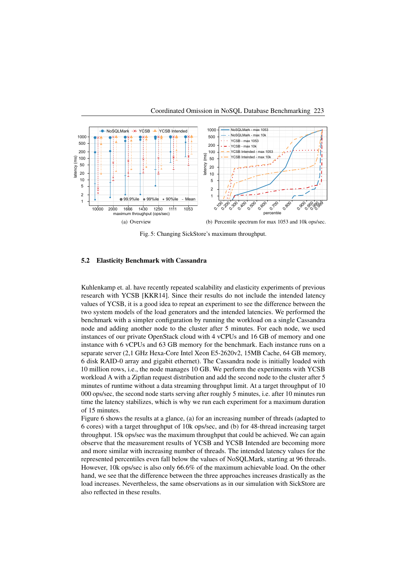<span id="page-8-1"></span>

<span id="page-8-2"></span>Fig. 5: Changing SickStore's maximum throughput.

#### 5.2 Elasticity Benchmark with Cassandra

Kuhlenkamp et. al. have recently repeated scalability and elasticity experiments of previous research with YCSB [\[KKR14\]](#page-10-6). Since their results do not include the intended latency values of YCSB, it is a good idea to repeat an experiment to see the difference between the two system models of the load generators and the intended latencies. We performed the benchmark with a simpler configuration by running the workload on a single Cassandra node and adding another node to the cluster after 5 minutes. For each node, we used instances of our private OpenStack cloud with 4 vCPUs and 16 GB of memory and one instance with 6 vCPUs and 63 GB memory for the benchmark. Each instance runs on a separate server (2,1 GHz Hexa-Core Intel Xeon E5-2620v2, 15MB Cache, 64 GB memory, 6 disk RAID-0 array and gigabit ethernet). The Cassandra node is initially loaded with 10 million rows, i.e., the node manages 10 GB. We perform the experiments with YCSB workload A with a Zipfian request distribution and add the second node to the cluster after 5 minutes of runtime without a data streaming throughput limit. At a target throughput of 10 000 ops/sec, the second node starts serving after roughly 5 minutes, i.e. after 10 minutes run time the latency stabilizes, which is why we run each experiment for a maximum duration of 15 minutes.

<span id="page-8-0"></span>[Figure 6](#page-9-3) shows the results at a glance, (a) for an increasing number of threads (adapted to 6 cores) with a target throughput of 10k ops/sec, and (b) for 48-thread increasing target throughput. 15k ops/sec was the maximum throughput that could be achieved. We can again observe that the measurement results of YCSB and YCSB Intended are becoming more and more similar with increasing number of threads. The intended latency values for the represented percentiles even fall below the values of NoSQLMark, starting at 96 threads. However, 10k ops/sec is also only 66.6% of the maximum achievable load. On the other hand, we see that the difference between the three approaches increases drastically as the load increases. Nevertheless, the same observations as in our simulation with SickStore are also reflected in these results.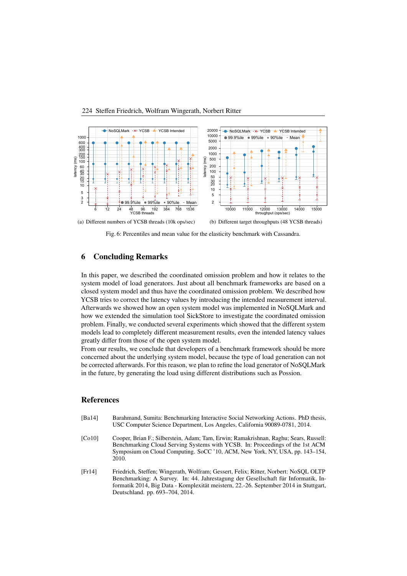<span id="page-9-3"></span>

Fig. 6: Percentiles and mean value for the elasticity benchmark with Cassandra.

#### 6 Concluding Remarks

In this paper, we described the coordinated omission problem and how it relates to the system model of load generators. Just about all benchmark frameworks are based on a closed system model and thus have the coordinated omission problem. We described how YCSB tries to correct the latency values by introducing the intended measurement interval. Afterwards we showed how an open system model was implemented in NoSQLMark and how we extended the simulation tool SickStore to investigate the coordinated omission problem. Finally, we conducted several experiments which showed that the different system models lead to completely different measurement results, even the intended latency values greatly differ from those of the open system model.

From our results, we conclude that developers of a benchmark framework should be more concerned about the underlying system model, because the type of load generation can not be corrected afterwards. For this reason, we plan to refine the load generator of NoSQLMark in the future, by generating the load using different distributions such as Possion.

#### References

<span id="page-9-2"></span><span id="page-9-0"></span>

| [Ba14] | Barahmand, Sumita: Benchmarking Interactive Social Networking Actions. PhD thesis,<br>USC Computer Science Department, Los Angeles, California 90089-0781, 2014.                                                                                               |
|--------|----------------------------------------------------------------------------------------------------------------------------------------------------------------------------------------------------------------------------------------------------------------|
| [Co10] | Cooper, Brian F.; Silberstein, Adam; Tam, Erwin; Ramakrishnan, Raghu; Sears, Russell:<br>Benchmarking Cloud Serving Systems with YCSB. In: Proceedings of the 1st ACM<br>Symposium on Cloud Computing. SoCC '10, ACM, New York, NY, USA, pp. 143–154,<br>2010. |
| [Fr14] | Friedrich, Steffen; Wingerath, Wolfram; Gessert, Felix; Ritter, Norbert: NoSOL OLTP                                                                                                                                                                            |

<span id="page-9-1"></span>Benchmarking: A Survey. In: 44. Jahrestagung der Gesellschaft für Informatik, Informatik 2014, Big Data - Komplexität meistern, 22.-26. September 2014 in Stuttgart, Deutschland. pp. 693–704, 2014.